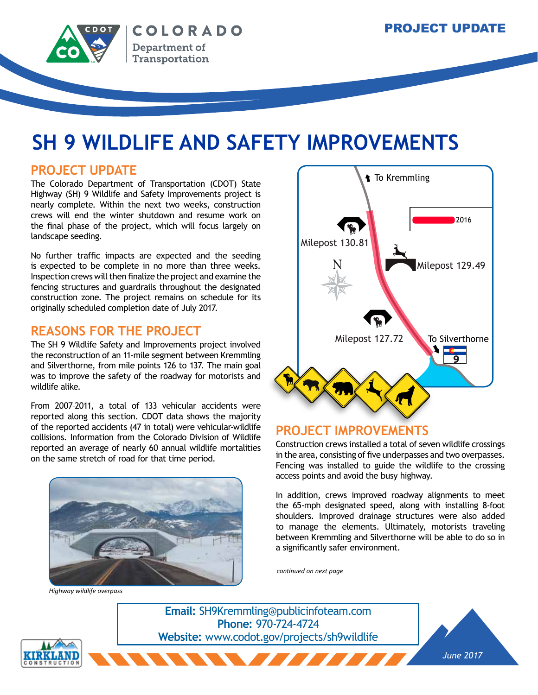**40**

**40**



# **SH 9 WILDLIFE AND SAFETY IMPROVEMENTS**

### **PROJECT UPDATE**

The Colorado Department of Transportation (CDOT) State Highway (SH) 9 Wildlife and Safety Improvements project is nearly complete. Within the next two weeks, construction crews will end the winter shutdown and resume work on the final phase of the project, which will focus largely on landscape seeding.

No further traffic impacts are expected and the seeding is expected to be complete in no more than three weeks. Inspection crews will then finalize the project and examine the fencing structures and guardrails throughout the designated construction zone. The project remains on schedule for its originally scheduled completion date of July 2017.

## **REASONS FOR THE PROJECT**

The SH 9 Wildlife Safety and Improvements project involved the reconstruction of an 11-mile segment between Kremmling and Silverthorne, from mile points 126 to 137. The main goal was to improve the safety of the roadway for motorists and wildlife alike.

From 2007–2011, a total of 133 vehicular accidents were reported along this section. CDOT data shows the majority of the reported accidents (47 in total) were vehicular-wildlife collisions. Information from the Colorado Division of Wildlife reported an average of nearly 60 annual wildlife mortalities on the same stretch of road for that time period.



*Highway wildlife overpass*



## **PROJECT IMPROVEMENTS**

**9**

**9**

Construction crews installed a total of seven wildlife crossings in the area, consisting of five underpasses and two overpasses. Fencing was installed to guide the wildlife to the crossing access points and avoid the busy highway. **TREAD MANUTE SERVOIR SERVERTHORNED**<br>Server and two overpasses.

In addition, crews improved roadway alignments to meet the 65-mph designated speed, along with installing 8-foot shoulders. Improved drainage structures were also added to manage the elements. Ultimately, motorists traveling between Kremmling and Silverthorne will be able to do so in a significantly safer environment.

*continued on next page*